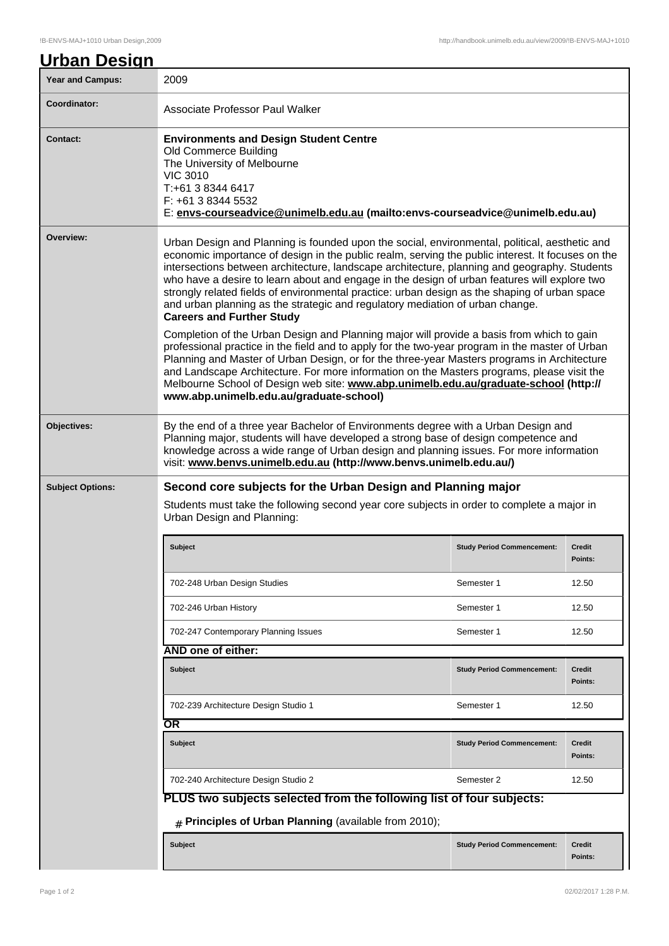| <u>Urban Design</u>     |                                                                                                                                                                                                                                                                                                                                                                                                                                                                                                                                                                                                                                                                                                                                                                                                                                                                                                                                                                                                                                                                                                                                                          |                                   |                          |  |  |
|-------------------------|----------------------------------------------------------------------------------------------------------------------------------------------------------------------------------------------------------------------------------------------------------------------------------------------------------------------------------------------------------------------------------------------------------------------------------------------------------------------------------------------------------------------------------------------------------------------------------------------------------------------------------------------------------------------------------------------------------------------------------------------------------------------------------------------------------------------------------------------------------------------------------------------------------------------------------------------------------------------------------------------------------------------------------------------------------------------------------------------------------------------------------------------------------|-----------------------------------|--------------------------|--|--|
| <b>Year and Campus:</b> | 2009                                                                                                                                                                                                                                                                                                                                                                                                                                                                                                                                                                                                                                                                                                                                                                                                                                                                                                                                                                                                                                                                                                                                                     |                                   |                          |  |  |
| Coordinator:            | Associate Professor Paul Walker                                                                                                                                                                                                                                                                                                                                                                                                                                                                                                                                                                                                                                                                                                                                                                                                                                                                                                                                                                                                                                                                                                                          |                                   |                          |  |  |
| <b>Contact:</b>         | <b>Environments and Design Student Centre</b><br>Old Commerce Building<br>The University of Melbourne<br><b>VIC 3010</b><br>T:+61 3 8344 6417<br>F: +61 3 8344 5532<br>E: envs-courseadvice@unimelb.edu.au (mailto:envs-courseadvice@unimelb.edu.au)                                                                                                                                                                                                                                                                                                                                                                                                                                                                                                                                                                                                                                                                                                                                                                                                                                                                                                     |                                   |                          |  |  |
| Overview:               | Urban Design and Planning is founded upon the social, environmental, political, aesthetic and<br>economic importance of design in the public realm, serving the public interest. It focuses on the<br>intersections between architecture, landscape architecture, planning and geography. Students<br>who have a desire to learn about and engage in the design of urban features will explore two<br>strongly related fields of environmental practice: urban design as the shaping of urban space<br>and urban planning as the strategic and regulatory mediation of urban change.<br><b>Careers and Further Study</b><br>Completion of the Urban Design and Planning major will provide a basis from which to gain<br>professional practice in the field and to apply for the two-year program in the master of Urban<br>Planning and Master of Urban Design, or for the three-year Masters programs in Architecture<br>and Landscape Architecture. For more information on the Masters programs, please visit the<br>Melbourne School of Design web site: www.abp.unimelb.edu.au/graduate-school (http://<br>www.abp.unimelb.edu.au/graduate-school) |                                   |                          |  |  |
| Objectives:             | By the end of a three year Bachelor of Environments degree with a Urban Design and<br>Planning major, students will have developed a strong base of design competence and<br>knowledge across a wide range of Urban design and planning issues. For more information<br>visit: www.benvs.unimelb.edu.au (http://www.benvs.unimelb.edu.au/)                                                                                                                                                                                                                                                                                                                                                                                                                                                                                                                                                                                                                                                                                                                                                                                                               |                                   |                          |  |  |
| <b>Subject Options:</b> | Second core subjects for the Urban Design and Planning major<br>Students must take the following second year core subjects in order to complete a major in<br>Urban Design and Planning:                                                                                                                                                                                                                                                                                                                                                                                                                                                                                                                                                                                                                                                                                                                                                                                                                                                                                                                                                                 |                                   |                          |  |  |
|                         | <b>Subject</b>                                                                                                                                                                                                                                                                                                                                                                                                                                                                                                                                                                                                                                                                                                                                                                                                                                                                                                                                                                                                                                                                                                                                           | <b>Study Period Commencement:</b> | <b>Credit</b><br>Points: |  |  |
|                         | 702-248 Urban Design Studies                                                                                                                                                                                                                                                                                                                                                                                                                                                                                                                                                                                                                                                                                                                                                                                                                                                                                                                                                                                                                                                                                                                             | Semester 1                        | 12.50                    |  |  |
|                         | 702-246 Urban History                                                                                                                                                                                                                                                                                                                                                                                                                                                                                                                                                                                                                                                                                                                                                                                                                                                                                                                                                                                                                                                                                                                                    | Semester 1                        | 12.50                    |  |  |
|                         | 702-247 Contemporary Planning Issues                                                                                                                                                                                                                                                                                                                                                                                                                                                                                                                                                                                                                                                                                                                                                                                                                                                                                                                                                                                                                                                                                                                     | Semester 1                        | 12.50                    |  |  |
|                         | <b>AND one of either:</b>                                                                                                                                                                                                                                                                                                                                                                                                                                                                                                                                                                                                                                                                                                                                                                                                                                                                                                                                                                                                                                                                                                                                |                                   |                          |  |  |
|                         | <b>Subject</b>                                                                                                                                                                                                                                                                                                                                                                                                                                                                                                                                                                                                                                                                                                                                                                                                                                                                                                                                                                                                                                                                                                                                           | <b>Study Period Commencement:</b> | <b>Credit</b><br>Points: |  |  |
|                         | 702-239 Architecture Design Studio 1                                                                                                                                                                                                                                                                                                                                                                                                                                                                                                                                                                                                                                                                                                                                                                                                                                                                                                                                                                                                                                                                                                                     | Semester 1                        | 12.50                    |  |  |
|                         | $\overline{\text{OR}}$                                                                                                                                                                                                                                                                                                                                                                                                                                                                                                                                                                                                                                                                                                                                                                                                                                                                                                                                                                                                                                                                                                                                   |                                   |                          |  |  |
|                         | <b>Subject</b>                                                                                                                                                                                                                                                                                                                                                                                                                                                                                                                                                                                                                                                                                                                                                                                                                                                                                                                                                                                                                                                                                                                                           | <b>Study Period Commencement:</b> | <b>Credit</b><br>Points: |  |  |
|                         | 702-240 Architecture Design Studio 2                                                                                                                                                                                                                                                                                                                                                                                                                                                                                                                                                                                                                                                                                                                                                                                                                                                                                                                                                                                                                                                                                                                     | Semester 2                        | 12.50                    |  |  |
|                         | PLUS two subjects selected from the following list of four subjects:                                                                                                                                                                                                                                                                                                                                                                                                                                                                                                                                                                                                                                                                                                                                                                                                                                                                                                                                                                                                                                                                                     |                                   |                          |  |  |
|                         | $#$ Principles of Urban Planning (available from 2010);                                                                                                                                                                                                                                                                                                                                                                                                                                                                                                                                                                                                                                                                                                                                                                                                                                                                                                                                                                                                                                                                                                  |                                   |                          |  |  |
|                         | <b>Subject</b>                                                                                                                                                                                                                                                                                                                                                                                                                                                                                                                                                                                                                                                                                                                                                                                                                                                                                                                                                                                                                                                                                                                                           | <b>Study Period Commencement:</b> | <b>Credit</b><br>Points: |  |  |